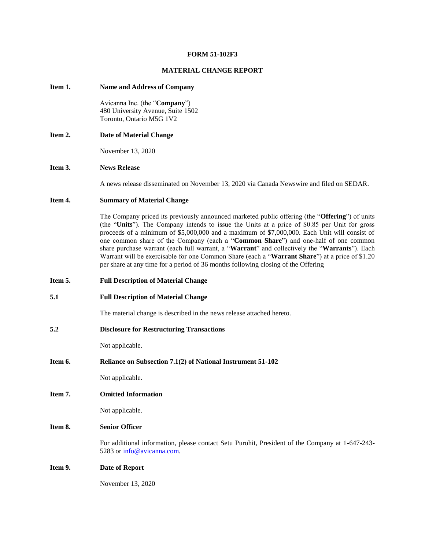#### **FORM 51-102F3**

### **MATERIAL CHANGE REPORT**

#### **Item 1. Name and Address of Company**

Avicanna Inc. (the "**Company**") 480 University Avenue, Suite 1502 Toronto, Ontario M5G 1V2

**Item 2. Date of Material Change**

November 13, 2020

## **Item 3. News Release**

A news release disseminated on November 13, 2020 via Canada Newswire and filed on SEDAR.

# **Item 4. Summary of Material Change**

The Company priced its previously announced marketed public offering (the "**Offering**") of units (the "**Units**"). The Company intends to issue the Units at a price of \$0.85 per Unit for gross proceeds of a minimum of \$5,000,000 and a maximum of \$7,000,000. Each Unit will consist of one common share of the Company (each a "**Common Share**") and one-half of one common share purchase warrant (each full warrant, a "**Warrant**" and collectively the "**Warrants**"). Each Warrant will be exercisable for one Common Share (each a "**Warrant Share**") at a price of \$1.20 per share at any time for a period of 36 months following closing of the Offering

- **Item 5. Full Description of Material Change**
- **5.1 Full Description of Material Change**

The material change is described in the news release attached hereto.

**5.2 Disclosure for Restructuring Transactions**

Not applicable.

**Item 6. Reliance on Subsection 7.1(2) of National Instrument 51-102**

Not applicable.

**Item 7. Omitted Information**

Not applicable.

#### **Item 8. Senior Officer**

For additional information, please contact Setu Purohit, President of the Company at 1-647-243 5283 or [info@avicanna.com.](mailto:info@avicanna.com)

#### **Item 9. Date of Report**

November 13, 2020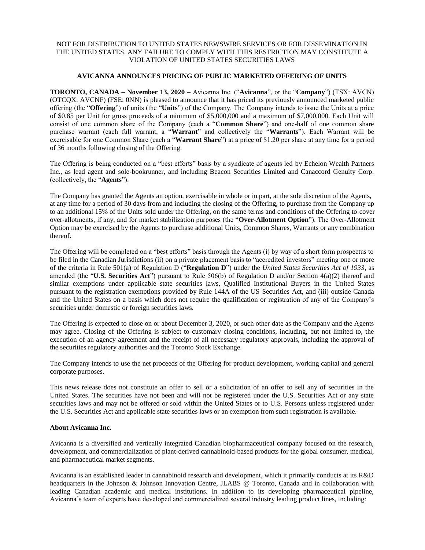## NOT FOR DISTRIBUTION TO UNITED STATES NEWSWIRE SERVICES OR FOR DISSEMINATION IN THE UNITED STATES. ANY FAILURE TO COMPLY WITH THIS RESTRICTION MAY CONSTITUTE A VIOLATION OF UNITED STATES SECURITIES LAWS

# **AVICANNA ANNOUNCES PRICING OF PUBLIC MARKETED OFFERING OF UNITS**

**TORONTO, CANADA – November 13, 2020 –** Avicanna Inc. ("**Avicanna**", or the "**Company**") (TSX: AVCN) (OTCQX: AVCNF) (FSE: 0NN) is pleased to announce that it has priced its previously announced marketed public offering (the "**Offering**") of units (the "**Units**") of the Company. The Company intends to issue the Units at a price of \$0.85 per Unit for gross proceeds of a minimum of \$5,000,000 and a maximum of \$7,000,000. Each Unit will consist of one common share of the Company (each a "**Common Share**") and one-half of one common share purchase warrant (each full warrant, a "**Warrant**" and collectively the "**Warrants**"). Each Warrant will be exercisable for one Common Share (each a "**Warrant Share**") at a price of \$1.20 per share at any time for a period of 36 months following closing of the Offering.

The Offering is being conducted on a "best efforts" basis by a syndicate of agents led by Echelon Wealth Partners Inc., as lead agent and sole-bookrunner, and including Beacon Securities Limited and Canaccord Genuity Corp. (collectively, the "**Agents**").

The Company has granted the Agents an option, exercisable in whole or in part, at the sole discretion of the Agents, at any time for a period of 30 days from and including the closing of the Offering, to purchase from the Company up to an additional 15% of the Units sold under the Offering, on the same terms and conditions of the Offering to cover over-allotments, if any, and for market stabilization purposes (the "**Over-Allotment Option**"). The Over-Allotment Option may be exercised by the Agents to purchase additional Units, Common Shares, Warrants or any combination thereof.

The Offering will be completed on a "best efforts" basis through the Agents (i) by way of a short form prospectus to be filed in the Canadian Jurisdictions (ii) on a private placement basis to "accredited investors" meeting one or more of the criteria in Rule 501(a) of Regulation D ("Regulation D") under the *United States Securities Act of 1933*, as amended (the "**U.S. Securities Act**") pursuant to Rule 506(b) of Regulation D and/or Section 4(a)(2) thereof and similar exemptions under applicable state securities laws, Qualified Institutional Buyers in the United States pursuant to the registration exemptions provided by Rule 144A of the US Securities Act, and (iii) outside Canada and the United States on a basis which does not require the qualification or registration of any of the Company's securities under domestic or foreign securities laws.

The Offering is expected to close on or about December 3, 2020, or such other date as the Company and the Agents may agree. Closing of the Offering is subject to customary closing conditions, including, but not limited to, the execution of an agency agreement and the receipt of all necessary regulatory approvals, including the approval of the securities regulatory authorities and the Toronto Stock Exchange.

The Company intends to use the net proceeds of the Offering for product development, working capital and general corporate purposes.

This news release does not constitute an offer to sell or a solicitation of an offer to sell any of securities in the United States. The securities have not been and will not be registered under the U.S. Securities Act or any state securities laws and may not be offered or sold within the United States or to U.S. Persons unless registered under the U.S. Securities Act and applicable state securities laws or an exemption from such registration is available.

## **About Avicanna Inc.**

Avicanna is a diversified and vertically integrated Canadian biopharmaceutical company focused on the research, development, and commercialization of plant-derived cannabinoid-based products for the global consumer, medical, and pharmaceutical market segments.

Avicanna is an established leader in cannabinoid research and development, which it primarily conducts at its R&D headquarters in the Johnson & Johnson Innovation Centre, JLABS @ Toronto, Canada and in collaboration with leading Canadian academic and medical institutions. In addition to its developing pharmaceutical pipeline, Avicanna's team of experts have developed and commercialized several industry leading product lines, including: